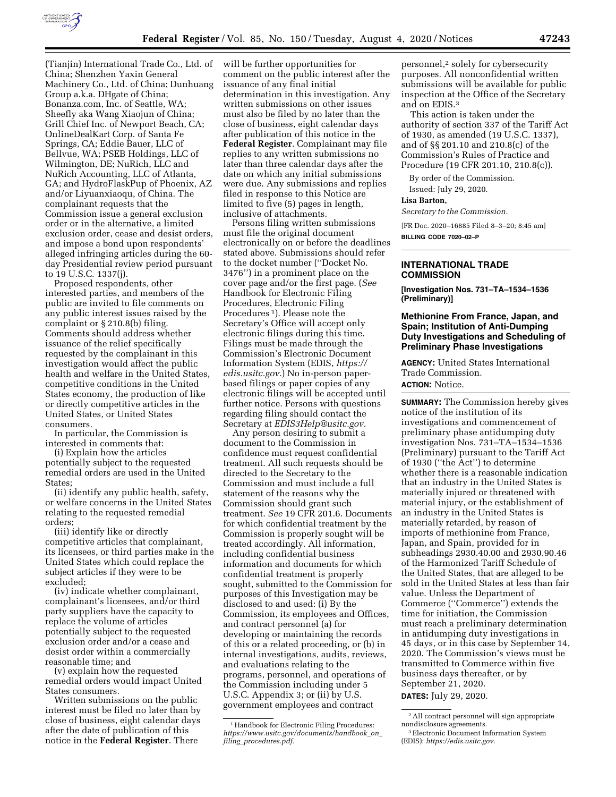

(Tianjin) International Trade Co., Ltd. of China; Shenzhen Yaxin General Machinery Co., Ltd. of China; Dunhuang Group a.k.a. DHgate of China; Bonanza.com, Inc. of Seattle, WA; Sheefly aka Wang Xiaojun of China; Grill Chief Inc. of Newport Beach, CA; OnlineDealKart Corp. of Santa Fe Springs, CA; Eddie Bauer, LLC of Bellvue, WA; PSEB Holdings, LLC of Wilmington, DE; NuRich, LLC and NuRich Accounting, LLC of Atlanta, GA; and HydroFlaskPup of Phoenix, AZ and/or Liyuanxiaoqu, of China. The complainant requests that the Commission issue a general exclusion order or in the alternative, a limited exclusion order, cease and desist orders, and impose a bond upon respondents' alleged infringing articles during the 60 day Presidential review period pursuant to 19 U.S.C. 1337(j).

Proposed respondents, other interested parties, and members of the public are invited to file comments on any public interest issues raised by the complaint or § 210.8(b) filing. Comments should address whether issuance of the relief specifically requested by the complainant in this investigation would affect the public health and welfare in the United States, competitive conditions in the United States economy, the production of like or directly competitive articles in the United States, or United States consumers.

In particular, the Commission is interested in comments that:

(i) Explain how the articles potentially subject to the requested remedial orders are used in the United States;

(ii) identify any public health, safety, or welfare concerns in the United States relating to the requested remedial orders;

(iii) identify like or directly competitive articles that complainant, its licensees, or third parties make in the United States which could replace the subject articles if they were to be excluded;

(iv) indicate whether complainant, complainant's licensees, and/or third party suppliers have the capacity to replace the volume of articles potentially subject to the requested exclusion order and/or a cease and desist order within a commercially reasonable time; and

(v) explain how the requested remedial orders would impact United States consumers.

Written submissions on the public interest must be filed no later than by close of business, eight calendar days after the date of publication of this notice in the **Federal Register**. There

will be further opportunities for comment on the public interest after the issuance of any final initial determination in this investigation. Any written submissions on other issues must also be filed by no later than the close of business, eight calendar days after publication of this notice in the **Federal Register**. Complainant may file replies to any written submissions no later than three calendar days after the date on which any initial submissions were due. Any submissions and replies filed in response to this Notice are limited to five (5) pages in length, inclusive of attachments.

Persons filing written submissions must file the original document electronically on or before the deadlines stated above. Submissions should refer to the docket number (''Docket No. 3476'') in a prominent place on the cover page and/or the first page. (*See*  Handbook for Electronic Filing Procedures, Electronic Filing Procedures 1). Please note the Secretary's Office will accept only electronic filings during this time. Filings must be made through the Commission's Electronic Document Information System (EDIS, *[https://](https://edis.usitc.gov) [edis.usitc.gov.](https://edis.usitc.gov)*) No in-person paperbased filings or paper copies of any electronic filings will be accepted until further notice. Persons with questions regarding filing should contact the Secretary at *[EDIS3Help@usitc.gov.](mailto:EDIS3Help@usitc.gov)* 

Any person desiring to submit a document to the Commission in confidence must request confidential treatment. All such requests should be directed to the Secretary to the Commission and must include a full statement of the reasons why the Commission should grant such treatment. *See* 19 CFR 201.6. Documents for which confidential treatment by the Commission is properly sought will be treated accordingly. All information, including confidential business information and documents for which confidential treatment is properly sought, submitted to the Commission for purposes of this Investigation may be disclosed to and used: (i) By the Commission, its employees and Offices, and contract personnel (a) for developing or maintaining the records of this or a related proceeding, or (b) in internal investigations, audits, reviews, and evaluations relating to the programs, personnel, and operations of the Commission including under 5 U.S.C. Appendix 3; or (ii) by U.S. government employees and contract

personnel,2 solely for cybersecurity purposes. All nonconfidential written submissions will be available for public inspection at the Office of the Secretary and on EDIS.3

This action is taken under the authority of section 337 of the Tariff Act of 1930, as amended (19 U.S.C. 1337), and of §§ 201.10 and 210.8(c) of the Commission's Rules of Practice and Procedure (19 CFR 201.10, 210.8(c)).

By order of the Commission. Issued: July 29, 2020.

#### **Lisa Barton,**

*Secretary to the Commission.* 

[FR Doc. 2020–16885 Filed 8–3–20; 8:45 am] **BILLING CODE 7020–02–P** 

### **INTERNATIONAL TRADE COMMISSION**

**[Investigation Nos. 731–TA–1534–1536 (Preliminary)]** 

# **Methionine From France, Japan, and Spain; Institution of Anti-Dumping Duty Investigations and Scheduling of Preliminary Phase Investigations**

**AGENCY:** United States International Trade Commission.

## **ACTION:** Notice.

**SUMMARY:** The Commission hereby gives notice of the institution of its investigations and commencement of preliminary phase antidumping duty investigation Nos. 731–TA–1534–1536 (Preliminary) pursuant to the Tariff Act of 1930 (''the Act'') to determine whether there is a reasonable indication that an industry in the United States is materially injured or threatened with material injury, or the establishment of an industry in the United States is materially retarded, by reason of imports of methionine from France, Japan, and Spain, provided for in subheadings 2930.40.00 and 2930.90.46 of the Harmonized Tariff Schedule of the United States, that are alleged to be sold in the United States at less than fair value. Unless the Department of Commerce (''Commerce'') extends the time for initiation, the Commission must reach a preliminary determination in antidumping duty investigations in 45 days, or in this case by September 14, 2020. The Commission's views must be transmitted to Commerce within five business days thereafter, or by September 21, 2020.

**DATES:** July 29, 2020.

<sup>&</sup>lt;sup>1</sup> Handbook for Electronic Filing Procedures: *[https://www.usitc.gov/documents/handbook](https://www.usitc.gov/documents/handbook_on_filing_procedures.pdf)*\_*on*\_ *filing*\_*[procedures.pdf.](https://www.usitc.gov/documents/handbook_on_filing_procedures.pdf)* 

<sup>2</sup>All contract personnel will sign appropriate nondisclosure agreements.

<sup>3</sup>Electronic Document Information System (EDIS): *<https://edis.usitc.gov>*.